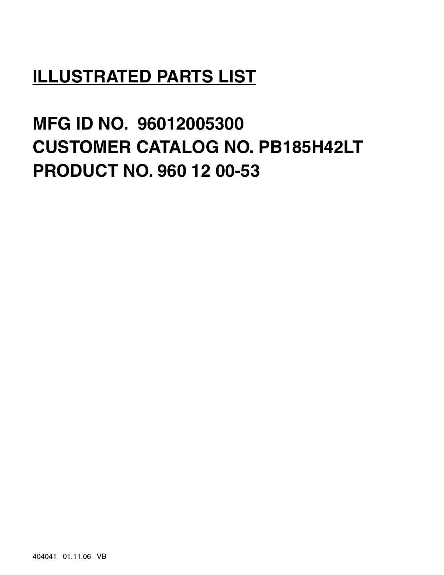# **ILLUSTRATED PARTS LIST**

**MFG ID NO. 96012005300 CUSTOMER CATALOG NO. PB185H42LT PRODUCT NO. 960 12 00-53**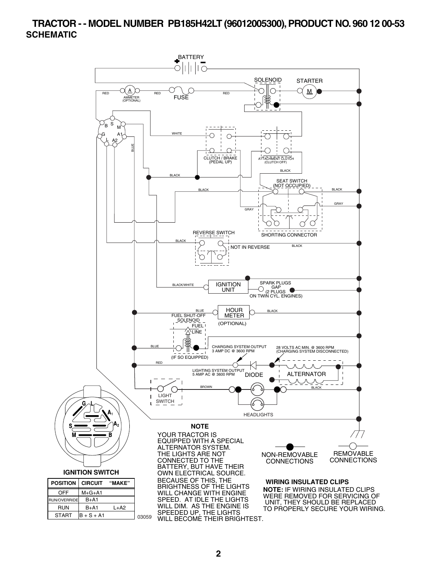#### **TRACTOR - - MODEL NUMBER PB185H42LT (96012005300), PRODUCT NO. 960 12 00-53 SCHEMATIC**

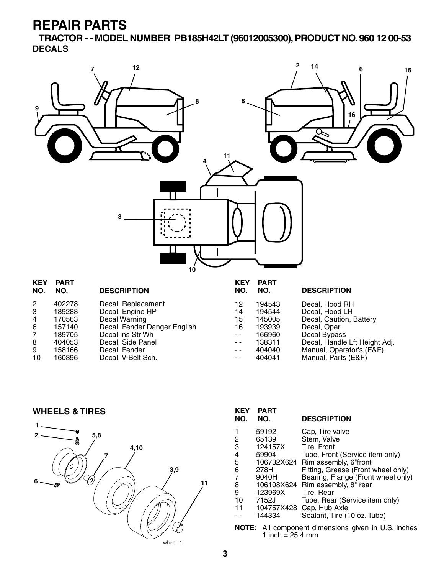**TRACTOR - - MODEL NUMBER PB185H42LT (96012005300), PRODUCT NO. 960 12 00-53 DECALS**



| NO. | NO.    | <b>DESCRIPTION</b>           | NO. | NO.    | <b>DESCRIPTION</b>            |
|-----|--------|------------------------------|-----|--------|-------------------------------|
| 2   | 402278 | Decal, Replacement           | 12  | 194543 | Decal, Hood RH                |
| 3   | 189288 | Decal, Engine HP             | 14  | 194544 | Decal, Hood LH                |
| 4   | 170563 | Decal Warning                | 15  | 145005 | Decal, Caution, Battery       |
| 6   | 157140 | Decal, Fender Danger English | 16  | 193939 | Decal, Oper                   |
|     | 189705 | Decal Ins Str Wh             | - - | 166960 | Decal Bypass                  |
| 8   | 404053 | Decal, Side Panel            | - - | 138311 | Decal, Handle Lft Height Adj. |
| 9   | 158166 | Decal, Fender                | - - | 404040 | Manual, Operator's (E&F)      |
| 10  | 160396 | Decal, V-Belt Sch.           | - - | 404041 | Manual, Parts (E&F)           |
|     |        |                              |     |        |                               |

**WHEELS & TIRES**



| <b>KEY</b><br>NO.                                                                        | <b>PART</b><br>NO. | <b>DESCRIPTION</b>                 |  |  |
|------------------------------------------------------------------------------------------|--------------------|------------------------------------|--|--|
| 1                                                                                        | 59192              | Cap, Tire valve                    |  |  |
| 2                                                                                        | 65139              | Stem, Valve                        |  |  |
| 3                                                                                        | 124157X            | Tire. Front                        |  |  |
| $\frac{4}{5}$                                                                            | 59904              | Tube, Front (Service item only)    |  |  |
|                                                                                          |                    | 106732X624 Rim assembly, 6"front   |  |  |
| 6                                                                                        | 278H               | Fitting, Grease (Front wheel only) |  |  |
| $\overline{7}$                                                                           | 9040H              | Bearing, Flange (Front wheel only) |  |  |
| 8                                                                                        |                    | 106108X624 Rim assembly, 8" rear   |  |  |
| 9                                                                                        | 123969X            | Tire. Rear                         |  |  |
| 10                                                                                       | 7152J              | Tube, Rear (Service item only)     |  |  |
| 11                                                                                       | 104757X428         | Cap, Hub Axle                      |  |  |
|                                                                                          | 144334             | Sealant, Tire (10 oz. Tube)        |  |  |
| <b>NOTE:</b> All component dimensions given in U.S. inches<br>1 inch = $25.4 \text{ mm}$ |                    |                                    |  |  |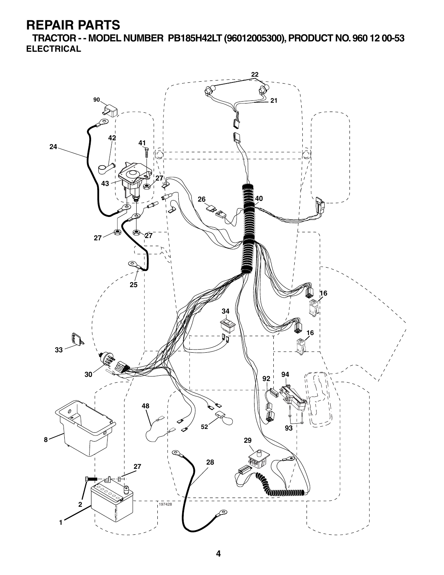**TRACTOR - - MODEL NUMBER PB185H42LT (96012005300), PRODUCT NO. 960 12 00-53 ELECTRICAL**

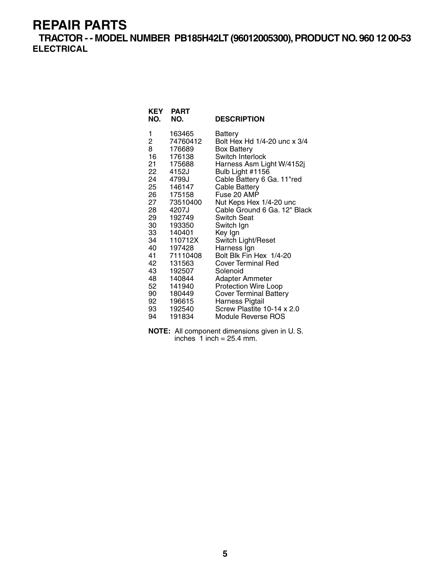**TRACTOR - - MODEL NUMBER PB185H42LT (96012005300), PRODUCT NO. 960 12 00-53 ELECTRICAL**

| KEY<br>NO.      | <b>PART</b><br>NO. | <b>DESCRIPTION</b>            |
|-----------------|--------------------|-------------------------------|
| 1               | 163465             | <b>Battery</b>                |
| $\overline{c}$  | 74760412           | Bolt Hex Hd 1/4-20 unc x 3/4  |
| 8               | 176689             | <b>Box Battery</b>            |
| 16              | 176138             | Switch Interlock              |
| 21              | 175688             | Harness Asm Light W/4152j     |
| 22              | 4152J              | Bulb Light #1156              |
|                 | 24 4799J           | Cable Battery 6 Ga. 11"red    |
| 25 —            | 146147             | Cable Battery                 |
| 26              | 175158             | Fuse 20 AMP                   |
| 27              | 73510400           | Nut Keps Hex 1/4-20 unc       |
| 28              | 4207J              | Cable Ground 6 Ga. 12" Black  |
| 29              | 192749             | <b>Switch Seat</b>            |
| 30              | 193350             | Switch Ign                    |
| 33              | 140401             | Key Ign                       |
| 34              | 110712X            | Switch Light/Reset            |
| 40              | 197428             | Harness Ign                   |
| 41              | 71110408           | Bolt Blk Fin Hex 1/4-20       |
| 42              | 131563             | <b>Cover Terminal Red</b>     |
| 43              | 192507             | Solenoid                      |
| 48              | 140844             | Adapter Ammeter               |
| 52 <sub>2</sub> | 141940             | <b>Protection Wire Loop</b>   |
| 90 —            | 180449             | <b>Cover Terminal Battery</b> |
| 92              | 196615             | Harness Pigtail               |
| 93              | 192540             | Screw Plastite 10-14 x 2.0    |
| 94              | 191834             | Module Reverse ROS            |

**NOTE:** All component dimensions given in U. S. inches  $1$  inch = 25.4 mm.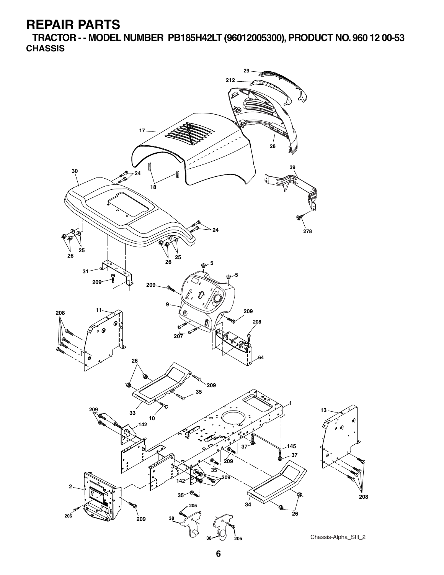**TRACTOR - - MODEL NUMBER PB185H42LT (96012005300), PRODUCT NO. 960 12 00-53 CHASSIS**

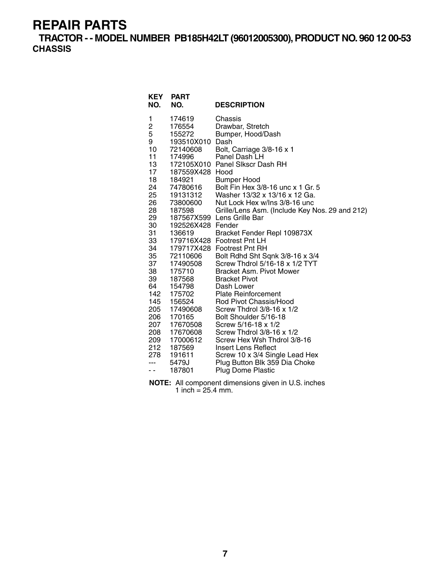**TRACTOR - - MODEL NUMBER PB185H42LT (96012005300), PRODUCT NO. 960 12 00-53 CHASSIS**

| <b>KEY</b><br>NO.                                                                                                                                                                                        | <b>PART</b><br>NO.                                                                                                                                                                                                                                                                                                                                  | <b>DESCRIPTION</b>                                                                                                                                                                                                                                                                                                                                                                                                                                                                                                                                                                                                                                                                                                                                                                                                                                                                                                     |
|----------------------------------------------------------------------------------------------------------------------------------------------------------------------------------------------------------|-----------------------------------------------------------------------------------------------------------------------------------------------------------------------------------------------------------------------------------------------------------------------------------------------------------------------------------------------------|------------------------------------------------------------------------------------------------------------------------------------------------------------------------------------------------------------------------------------------------------------------------------------------------------------------------------------------------------------------------------------------------------------------------------------------------------------------------------------------------------------------------------------------------------------------------------------------------------------------------------------------------------------------------------------------------------------------------------------------------------------------------------------------------------------------------------------------------------------------------------------------------------------------------|
| 1<br>2<br>5<br>9<br>10<br>11<br>13<br>17<br>18<br>24<br>25<br>26<br>28<br>29<br>30<br>31<br>33<br>34<br>35<br>37<br>38<br>39<br>64<br>142<br>145<br>205<br>206<br>207<br>208<br>209<br>212<br>278<br>- - | 174619<br>176554<br>155272<br>193510X010<br>72140608<br>174996<br>187559X428 Hood<br>184921<br>74780616<br>19131312<br>73800600<br>187598<br>192526X428 Fender<br>136619<br>72110606<br>17490508<br>175710<br>187568<br>154798<br>175702<br>156524<br>17490608<br>170165<br>17670508<br>17670608<br>17000612<br>187569<br>191611<br>5479J<br>187801 | Chassis<br>Drawbar, Stretch<br>Bumper, Hood/Dash<br>Dash<br>Bolt, Carriage 3/8-16 x 1<br>Panel Dash LH<br>172105X010 Panel Slkscr Dash RH<br><b>Bumper Hood</b><br>Bolt Fin Hex 3/8-16 unc x 1 Gr. 5<br>Washer 13/32 x 13/16 x 12 Ga.<br>Nut Lock Hex w/Ins 3/8-16 unc<br>Grille/Lens Asm. (Include Key Nos. 29 and 212)<br>187567X599 Lens Grille Bar<br>Bracket Fender Repl 109873X<br>179716X428 Footrest Pnt LH<br>179717X428 Footrest Pnt RH<br>Bolt Rdhd Sht Sqnk 3/8-16 x 3/4<br>Screw Thdrol 5/16-18 x 1/2 TYT<br><b>Bracket Asm. Pivot Mower</b><br><b>Bracket Pivot</b><br>Dash Lower<br><b>Plate Reinforcement</b><br>Rod Pivot Chassis/Hood<br>Screw Thdrol 3/8-16 x 1/2<br>Bolt Shoulder 5/16-18<br>Screw 5/16-18 x 1/2<br>Screw Thdrol 3/8-16 x 1/2<br>Screw Hex Wsh Thdrol 3/8-16<br><b>Insert Lens Reflect</b><br>Screw 10 x 3/4 Single Lead Hex<br>Plug Button Blk 359 Dia Choke<br>Plug Dome Plastic |

**NOTE:** All component dimensions given in U.S. inches 1 inch =  $25.4$  mm.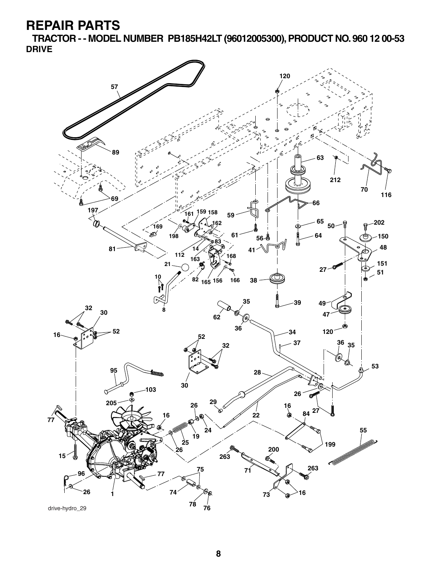**TRACTOR - - MODEL NUMBER PB185H42LT (96012005300), PRODUCT NO. 960 12 00-53 DRIVE**



drive-hydro\_29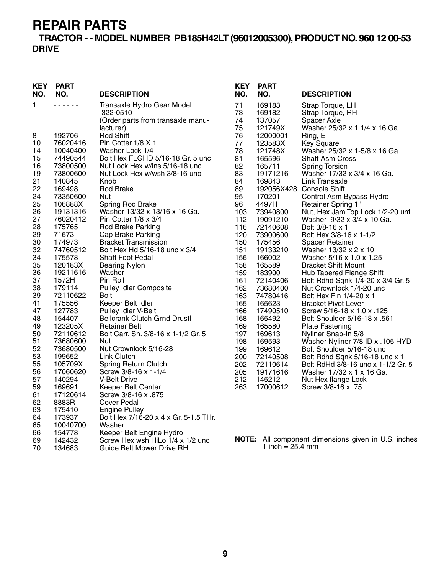#### **TRACTOR - - MODEL NUMBER PB185H42LT (96012005300), PRODUCT NO. 960 12 00-53 DRIVE**

| <b>KEY</b><br>NO. | <b>PART</b><br>NO.   | <b>DESCRIPTION</b>                                  | <b>KEY</b><br>NO. | <b>PART</b><br>NO. | <b>DESCRIPTION</b>                                  |
|-------------------|----------------------|-----------------------------------------------------|-------------------|--------------------|-----------------------------------------------------|
| 1                 |                      | Transaxle Hydro Gear Model                          | 71                | 169183             | Strap Torque, LH                                    |
|                   |                      | 322-0510                                            | 73                | 169182             | Strap Torque, RH                                    |
|                   |                      | (Order parts from transaxle manu-                   | 74                | 137057             | Spacer Axle                                         |
|                   |                      | facturer)                                           | 75                | 121749X            | Washer 25/32 x 1 1/4 x 16 Ga.                       |
| 8                 | 192706               | Rod Shift                                           | 76                | 12000001           | Ring, E                                             |
| 10<br>14          | 76020416             | Pin Cotter 1/8 X 1                                  | 77<br>78          | 123583X<br>121748X | <b>Key Square</b>                                   |
| 15                | 10040400<br>74490544 | Washer Lock 1/4<br>Bolt Hex FLGHD 5/16-18 Gr. 5 unc | 81                | 165596             | Washer 25/32 x 1-5/8 x 16 Ga.<br>Shaft Asm Cross    |
| 16                | 73800500             | Nut Lock Hex w/ins 5/16-18 unc                      | 82                | 165711             | <b>Spring Torsion</b>                               |
| 19                | 73800600             | Nut Lock Hex w/wsh 3/8-16 unc                       | 83                | 19171216           | Washer 17/32 x 3/4 x 16 Ga.                         |
| 21                | 140845               | Knob                                                | 84                | 169843             | Link Transaxle                                      |
| 22                | 169498               | <b>Rod Brake</b>                                    | 89                |                    | 192056X428 Console Shift                            |
| 24                | 73350600             | Nut                                                 | 95                | 170201             | Control Asm Bypass Hydro                            |
| 25                | 106888X              | Spring Rod Brake                                    | 96                | 4497H              | <b>Retainer Spring 1"</b>                           |
| 26                | 19131316             | Washer 13/32 x 13/16 x 16 Ga.                       | 103               | 73940800           | Nut, Hex Jam Top Lock 1/2-20 unf                    |
| 27                | 76020412             | Pin Cotter 1/8 x 3/4                                | 112               | 19091210           | Washer 9/32 x 3/4 x 10 Ga.                          |
| 28                | 175765               | Rod Brake Parking                                   | 116               | 72140608           | Bolt 3/8-16 x 1                                     |
| 29                | 71673                | Cap Brake Parking                                   | 120               | 73900600           | Bolt Hex 3/8-16 x 1-1/2                             |
| 30                | 174973               | <b>Bracket Transmission</b>                         | 150               | 175456             | <b>Spacer Retainer</b>                              |
| 32                | 74760512             | Bolt Hex Hd 5/16-18 unc x 3/4                       | 151               | 19133210           | Washer 13/32 x 2 x 10                               |
| 34                | 175578               | <b>Shaft Foot Pedal</b>                             | 156               | 166002             | Washer 5/16 x 1.0 x 1.25                            |
| 35                | 120183X              | <b>Bearing Nylon</b>                                | 158               | 165589             | <b>Bracket Shift Mount</b>                          |
| 36                | 19211616             | Washer                                              | 159               | 183900             | Hub Tapered Flange Shift                            |
| 37                | 1572H                | Pin Roll                                            | 161               | 72140406           | Bolt Rdhd Sqnk 1/4-20 x 3/4 Gr. 5                   |
| 38                | 179114               | <b>Pulley Idler Composite</b>                       | 162               | 73680400           | Nut Crownlock 1/4-20 unc                            |
| 39                | 72110622             | <b>Bolt</b>                                         | 163               | 74780416           | Bolt Hex Fin 1/4-20 x 1                             |
| 41                | 175556               | Keeper Belt Idler                                   | 165               | 165623             | <b>Bracket Pivot Lever</b>                          |
| 47                | 127783               | Pulley Idler V-Belt                                 | 166               | 17490510           | Screw 5/16-18 x 1.0 x .125                          |
| 48                | 154407               | <b>Bellcrank Clutch Grnd Drustl</b>                 | 168               | 165492             | Bolt Shoulder 5/16-18 x .561                        |
| 49                | 123205X              | <b>Retainer Belt</b>                                | 169               | 165580             | <b>Plate Fastening</b>                              |
| 50                | 72110612             | Bolt Carr. Sh. 3/8-16 x 1-1/2 Gr. 5                 | 197               | 169613             | Nyliner Snap-In 5/8                                 |
| 51                | 73680600             | Nut                                                 | 198               | 169593             | Washer Nyliner 7/8 ID x .105 HYD                    |
| 52                | 73680500             | Nut Crownlock 5/16-28                               | 199               | 169612             | Bolt Shoulder 5/16-18 unc                           |
| 53                | 199652               | Link Clutch                                         | 200               | 72140508           | Bolt Rdhd Sqnk 5/16-18 unc x 1                      |
| 55                | 105709X              | Spring Return Clutch                                | 202               | 72110614           | Bolt RdHd 3/8-16 unc x 1-1/2 Gr. 5                  |
| 56                | 17060620             | Screw 3/8-16 x 1-1/4                                | 205               | 19171616           | Washer 17/32 x 1 x 16 Ga.                           |
| 57                | 140294               | V-Belt Drive                                        | 212               | 145212             | Nut Hex flange Lock                                 |
| 59<br>61          | 169691<br>17120614   | Keeper Belt Center<br>875. Screw 3/8-16 x           | 263               | 17000612           | Screw 3/8-16 x .75                                  |
| 62                | 8883R                | Cover Pedal                                         |                   |                    |                                                     |
| 63                | 175410               | <b>Engine Pulley</b>                                |                   |                    |                                                     |
| 64                | 173937               | Bolt Hex 7/16-20 x 4 x Gr. 5-1.5 THr.               |                   |                    |                                                     |
| 65                | 10040700             | Washer                                              |                   |                    |                                                     |
| 66                | 154778               | Keeper Belt Engine Hydro                            |                   |                    |                                                     |
| 69                | 142432               | Screw Hex wsh HiLo 1/4 x 1/2 unc                    |                   |                    | NOTE: All component dimensions given in U.S. inches |
| 70                | 134683               | Guide Belt Mower Drive RH                           |                   | 1 inch = $25.4$ mm |                                                     |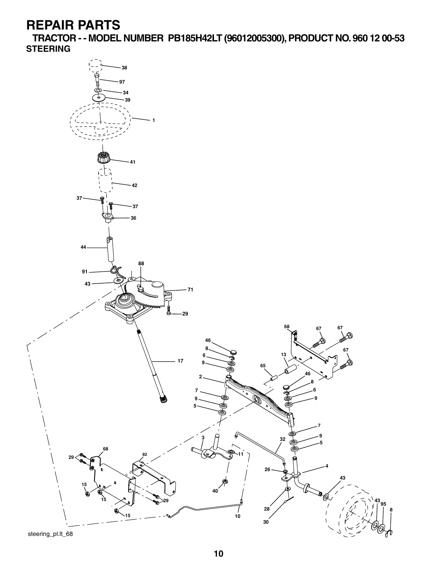**TRACTOR - - MODEL NUMBER PB185H42LT (96012005300), PRODUCT NO. 960 12 00-53 STEERING**

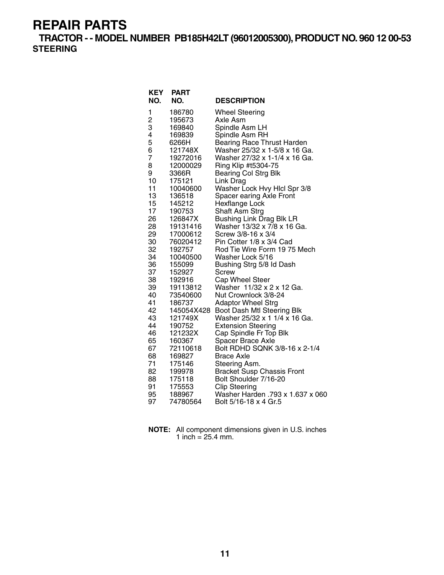**TRACTOR - - MODEL NUMBER PB185H42LT (96012005300), PRODUCT NO. 960 12 00-53 STEERING**

| <b>KEY</b><br>NO. | <b>PART</b><br>NO. | <b>DESCRIPTION</b>                                             |
|-------------------|--------------------|----------------------------------------------------------------|
| 1                 | 186780             | <b>Wheel Steering</b>                                          |
| 2                 | 195673             | Axle Asm                                                       |
| 3                 | 169840             | Spindle Asm LH                                                 |
| 4                 | 169839             | Spindle Asm RH                                                 |
| 5                 | 6266H              | <b>Bearing Race Thrust Harden</b>                              |
| 6                 | 121748X            | Washer 25/32 x 1-5/8 x 16 Ga.                                  |
| 7                 | 19272016           | Washer 27/32 x 1-1/4 x 16 Ga.                                  |
| 8                 | 12000029           | Ring Klip #t5304-75                                            |
| 9                 | 3366R              | <b>Bearing Col Strg Blk</b>                                    |
| 10                | 175121             | Link Drag                                                      |
| 11                | 10040600           | Washer Lock Hvy Hlcl Spr 3/8                                   |
| 13                | 136518             | Spacer earing Axle Front                                       |
| 15<br>17          | 145212             | Hexflange Lock                                                 |
| 26                | 190753<br>126847X  | <b>Shaft Asm Strg</b>                                          |
| 28                | 19131416           | <b>Bushing Link Drag Blk LR</b><br>Washer 13/32 x 7/8 x 16 Ga. |
| 29                | 17000612           | Screw 3/8-16 x 3/4                                             |
| 30                | 76020412           | Pin Cotter 1/8 x 3/4 Cad                                       |
| 32                | 192757             | Rod Tie Wire Form 19 75 Mech                                   |
| 34                | 10040500           | Washer Lock 5/16                                               |
| 36                | 155099             | Bushing Strg 5/8 Id Dash                                       |
| 37                | 152927             | <b>Screw</b>                                                   |
| 38                | 192916             | Cap Wheel Steer                                                |
| 39                | 19113812           | Washer 11/32 x 2 x 12 Ga.                                      |
| 40                | 73540600           | Nut Crownlock 3/8-24                                           |
| 41                | 186737             | <b>Adaptor Wheel Strg</b>                                      |
| 42                | 145054X428         | Boot Dash Mtl Steering Blk                                     |
| 43                | 121749X            | Washer 25/32 x 1 1/4 x 16 Ga.                                  |
| 44                | 190752             | <b>Extension Steering</b>                                      |
| 46                | 121232X            | Cap Spindle Fr Top Blk                                         |
| 65                | 160367             | Spacer Brace Axle                                              |
| 67                | 72110618           | Bolt RDHD SQNK 3/8-16 x 2-1/4                                  |
| 68                | 169827             | <b>Brace Axle</b>                                              |
| 71<br>82          | 175146<br>199978   | Steering Asm.                                                  |
| 88                | 175118             | <b>Bracket Susp Chassis Front</b><br>Bolt Shoulder 7/16-20     |
| 91                |                    |                                                                |
|                   |                    |                                                                |
| 95                | 175553<br>188967   | <b>Clip Steering</b><br>Washer Harden .793 x 1.637 x 060       |

**NOTE:** All component dimensions given in U.S. inches 1 inch =  $25.4$  mm.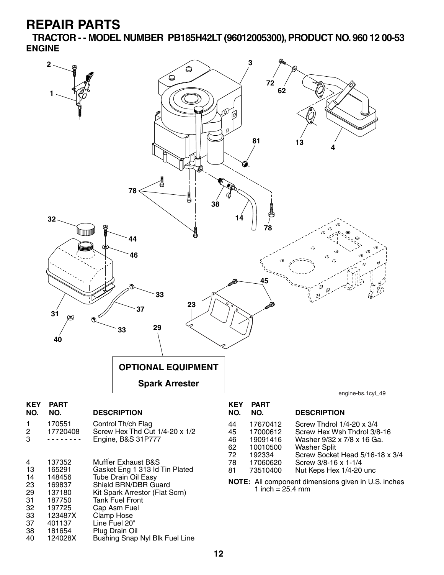**TRACTOR - - MODEL NUMBER PB185H42LT (96012005300), PRODUCT NO. 960 12 00-53 ENGINE**



33 123487X Clamp Hose 37 401137 Line Fuel 20" 38 181654 Plug Drain Oil Bushing Snap Nyl Blk Fuel Line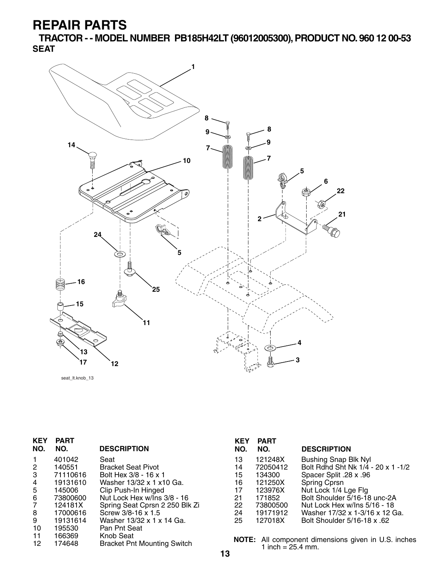**TRACTOR - - MODEL NUMBER PB185H42LT (96012005300), PRODUCT NO. 960 12 00-53 SEAT**



seat\_lt.knob\_13

| <b>KEY</b> | <b>PART</b> |                                    | <b>KEY</b> | <b>PART</b>                                           |               |
|------------|-------------|------------------------------------|------------|-------------------------------------------------------|---------------|
| NO.        | NO.         | <b>DESCRIPTION</b>                 | NO.        | NO.                                                   | <b>DESC</b>   |
|            | 401042      | Seat                               | 13         | 121248X                                               | <b>Bushi</b>  |
| 2          | 140551      | <b>Bracket Seat Pivot</b>          | 14         | 72050412                                              | <b>Bolt R</b> |
| 3          | 71110616    | Bolt Hex 3/8 - 16 x 1              | 15         | 134300                                                | Space         |
| 4          | 19131610    | Washer 13/32 x 1 x10 Ga.           | 16         | 121250X                                               | Spring        |
| 5          | 145006      | Clip Push-In Hinged                | 17         | 123976X                                               | Nut Lo        |
| 6          | 73800600    | Nut Lock Hex w/Ins 3/8 - 16        | 21         | 171852                                                | <b>Bolt S</b> |
| 7          | 124181X     | Spring Seat Cprsn 2 250 Blk Zi     | 22         | 73800500                                              | Nut Lo        |
| 8          | 17000616    | Screw 3/8-16 x 1.5                 | 24         | 19171912                                              | Wash          |
| 9          | 19131614    | Washer 13/32 x 1 x 14 Ga.          | 25         | 127018X                                               | <b>Bolt S</b> |
| 10         | 195530      | Pan Pnt Seat                       |            |                                                       |               |
| 11         | 166369      | Knob Seat                          |            |                                                       |               |
| 12         | 174648      | <b>Bracket Pnt Mounting Switch</b> |            | NOTE: All component din<br>1 inch $-$ 25 $\Lambda$ mm |               |

| NO. | NO.      | <b>DESCRIPTION</b>                 |
|-----|----------|------------------------------------|
| 13  | 121248X  | <b>Bushing Snap Blk Nyl</b>        |
| 14  | 72050412 | Bolt Rdnd Sht Nk 1/4 - 20 x 1 -1/2 |
| 15  | 134300   | Spacer Split .28 x .96             |
| 16  | 121250X  | <b>Spring Cprsn</b>                |
| 17  | 123976X  | Nut Lock 1/4 Lge Flg               |
| 21  | 171852   | Bolt Shoulder 5/16-18 unc-2A       |
| 22. | 73800500 | Nut Lock Hex w/Ins 5/16 - 18       |
| 24  | 19171912 | Washer 17/32 x 1-3/16 x 12 Ga.     |
| 25  | 127018X  | Bolt Shoulder 5/16-18 x .62        |
|     |          |                                    |

nensions given in U.S. inches 1 inch =  $25.4 \, \text{mm}$ .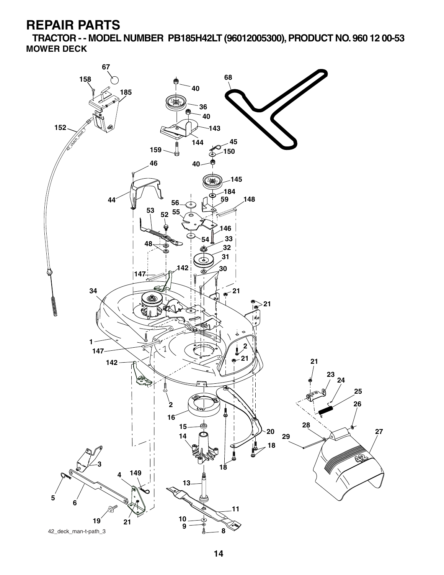**TRACTOR - - MODEL NUMBER PB185H42LT (96012005300), PRODUCT NO. 960 12 00-53 MOWER DECK**

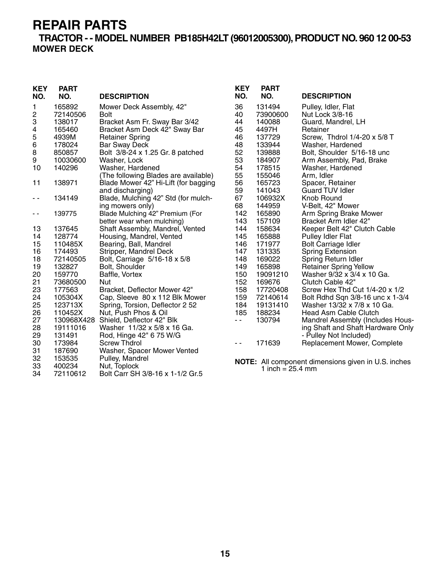34 72110612 Bolt Carr SH 3/8-16 x 1-1/2 Gr.5

**TRACTOR - - MODEL NUMBER PB185H42LT (96012005300), PRODUCT NO. 960 12 00-53 MOWER DECK**

| <b>KEY</b><br>NO. | <b>PART</b><br>NO. | <b>DESCRIPTION</b>                   | <b>KEY</b><br>NO. | <b>PART</b><br>NO.           | <b>DESCRIPTION</b>                                         |
|-------------------|--------------------|--------------------------------------|-------------------|------------------------------|------------------------------------------------------------|
| 1                 | 165892             | Mower Deck Assembly, 42"             | 36                | 131494                       | Pulley, Idler, Flat                                        |
| 2                 | 72140506           | <b>Bolt</b>                          | 40                | 73900600                     | Nut Lock 3/8-16                                            |
| 3                 | 138017             | Bracket Asm Fr. Sway Bar 3/42        | 44                | 140088                       | Guard, Mandrel, LH                                         |
| 4                 | 165460             | Bracket Asm Deck 42" Sway Bar        | 45                | 4497H                        | Retainer                                                   |
| 5                 | 4939M              | <b>Retainer Spring</b>               | 46                | 137729                       | Screw, Thdrol 1/4-20 x 5/8 T                               |
| 6                 | 178024             | <b>Bar Sway Deck</b>                 | 48                | 133944                       | Washer, Hardened                                           |
| 8                 | 850857             | Bolt 3/8-24 x 1.25 Gr. 8 patched     | 52                | 139888                       | Bolt, Shoulder 5/16-18 unc                                 |
| 9                 | 10030600           | Washer, Lock                         | 53                | 184907                       | Arm Assembly, Pad, Brake                                   |
| 10                | 140296             | Washer, Hardened                     | 54                | 178515                       | Washer, Hardened                                           |
|                   |                    | (The following Blades are available) | 55                | 155046                       | Arm, Idler                                                 |
| 11                | 138971             | Blade Mower 42" Hi-Lift (for bagging | 56                | 165723                       | Spacer, Retainer                                           |
|                   |                    | and discharging)                     | 59                | 141043                       | <b>Guard TUV Idler</b>                                     |
| - -               | 134149             | Blade, Mulching 42" Std (for mulch-  | 67                | 106932X                      | Knob Round                                                 |
|                   |                    | ing mowers only)                     | 68                | 144959                       | V-Belt, 42" Mower                                          |
| - -               | 139775             | Blade Mulching 42" Premium (For      | 142               | 165890                       | Arm Spring Brake Mower                                     |
|                   |                    | better wear when mulching)           | 143               | 157109                       | Bracket Arm Idler 42"                                      |
| 13                | 137645             | Shaft Assembly, Mandrel, Vented      | 144               | 158634                       | Keeper Belt 42" Clutch Cable                               |
| 14                | 128774             | Housing, Mandrel, Vented             | 145               | 165888                       | <b>Pulley Idler Flat</b>                                   |
| 15                | 110485X            | Bearing, Ball, Mandrel               | 146               | 171977                       | <b>Bolt Carriage Idler</b>                                 |
| 16                | 174493             | Stripper, Mandrel Deck               | 147               | 131335                       | <b>Spring Extension</b>                                    |
| 18                | 72140505           | Bolt, Carriage 5/16-18 x 5/8         | 148               | 169022                       | Spring Return Idler                                        |
| 19                | 132827             | Bolt, Shoulder                       | 149               | 165898                       | <b>Retainer Spring Yellow</b>                              |
| 20                | 159770             | Baffle, Vortex                       | 150               | 19091210                     | Washer 9/32 x 3/4 x 10 Ga.                                 |
| 21                | 73680500           | <b>Nut</b>                           | 152               | 169676                       | Clutch Cable 42"                                           |
| 23                | 177563             | Bracket, Deflector Mower 42"         | 158               | 17720408                     | Screw Hex Thd Cut 1/4-20 x 1/2                             |
| 24                | 105304X            | Cap, Sleeve 80 x 112 Blk Mower       | 159               | 72140614                     | Bolt Rdhd Sqn 3/8-16 unc x 1-3/4                           |
| 25                | 123713X            | Spring, Torsion, Deflector 2 52      | 184               | 19131410                     | Washer 13/32 x 7/8 x 10 Ga.                                |
| 26                | 110452X            | Nut, Push Phos & Oil                 | 185               | 188234                       | Head Asm Cable Clutch                                      |
| 27                | 130968X428         | Shield, Deflector 42" Blk            | $\sim$ $-$        | 130794                       | Mandrel Assembly (Includes Hous-                           |
| 28                | 19111016           | Washer 11/32 x 5/8 x 16 Ga.          |                   |                              | ing Shaft and Shaft Hardware Only                          |
| 29                | 131491             | Rod, Hinge 42" 6 75 W/G              |                   |                              | - Pulley Not Included)                                     |
| 30                | 173984             | <b>Screw Thdrol</b>                  | $ -$              | 171639                       | Replacement Mower, Complete                                |
| 31                | 187690             | Washer, Spacer Mower Vented          |                   |                              |                                                            |
| 32                | 153535             | Pulley, Mandrel                      |                   |                              |                                                            |
| 33                | 400234             | Nut, Toplock                         |                   | 1 inch = $25.4 \, \text{mm}$ | <b>NOTE:</b> All component dimensions given in U.S. inches |
| $\sim$ $\lambda$  | 70110010           | $0.010040 + 1000$                    |                   |                              |                                                            |

**15**